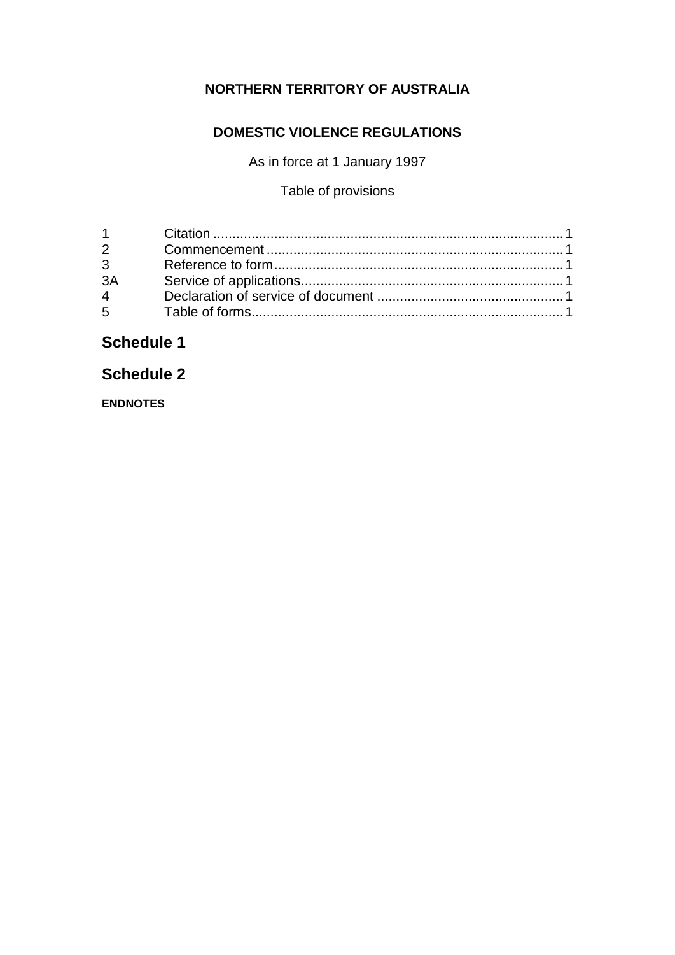## **NORTHERN TERRITORY OF AUSTRALIA**

## **DOMESTIC VIOLENCE REGULATIONS**

As in force at 1 January 1997

## Table of provisions

| $2^{\sim}$     |  |
|----------------|--|
| $3^{\circ}$    |  |
| 3A             |  |
| $\overline{4}$ |  |
| $5^{\circ}$    |  |

## **Schedule 1**

## **Schedule 2**

**ENDNOTES**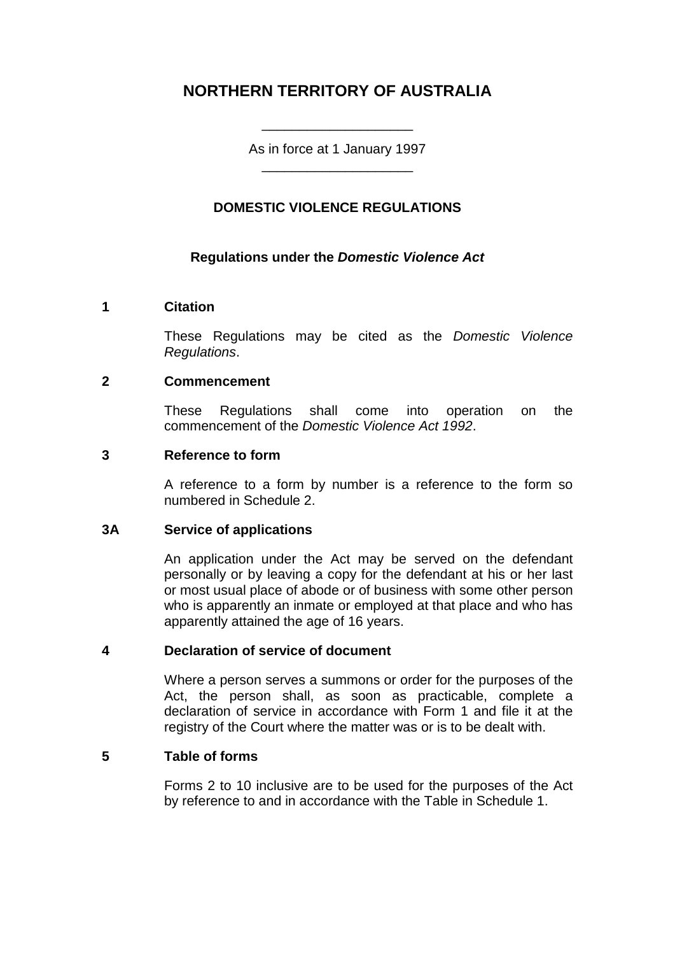## **NORTHERN TERRITORY OF AUSTRALIA**

As in force at 1 January 1997 \_\_\_\_\_\_\_\_\_\_\_\_\_\_\_\_\_\_\_\_

\_\_\_\_\_\_\_\_\_\_\_\_\_\_\_\_\_\_\_\_

#### **DOMESTIC VIOLENCE REGULATIONS**

#### **Regulations under the** *Domestic Violence Act*

#### **1 Citation**

These Regulations may be cited as the *Domestic Violence Regulations*.

#### **2 Commencement**

These Regulations shall come into operation on the commencement of the *Domestic Violence Act 1992*.

#### **3 Reference to form**

A reference to a form by number is a reference to the form so numbered in Schedule 2.

#### **3A Service of applications**

An application under the Act may be served on the defendant personally or by leaving a copy for the defendant at his or her last or most usual place of abode or of business with some other person who is apparently an inmate or employed at that place and who has apparently attained the age of 16 years.

#### **4 Declaration of service of document**

Where a person serves a summons or order for the purposes of the Act, the person shall, as soon as practicable, complete a declaration of service in accordance with Form 1 and file it at the registry of the Court where the matter was or is to be dealt with.

#### **5 Table of forms**

Forms 2 to 10 inclusive are to be used for the purposes of the Act by reference to and in accordance with the Table in Schedule 1.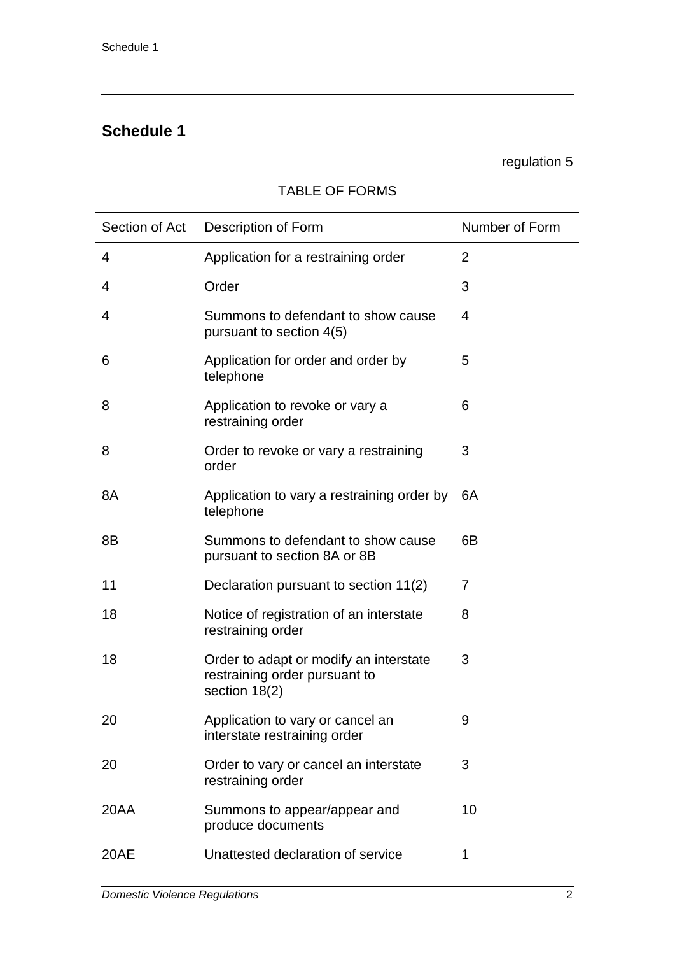## **Schedule 1**

#### regulation 5

#### Section of Act Description of Form Number of Form 4 Application for a restraining order 2 4 Order 3 4 Summons to defendant to show cause pursuant to section 4(5) 4 6 Application for order and order by telephone 5 8 Application to revoke or vary a restraining order 6 8 Order to revoke or vary a restraining order 3 8A Application to vary a restraining order by telephone 6A 8B Summons to defendant to show cause pursuant to section 8A or 8B 6B 11 Declaration pursuant to section 11(2) 7 18 Notice of registration of an interstate restraining order 8 18 Order to adapt or modify an interstate restraining order pursuant to section 18(2) 3 20 Application to vary or cancel an interstate restraining order 9 20 Order to vary or cancel an interstate restraining order 3 20AA Summons to appear/appear and produce documents 10 20AE Unattested declaration of service 1

#### TABLE OF FORMS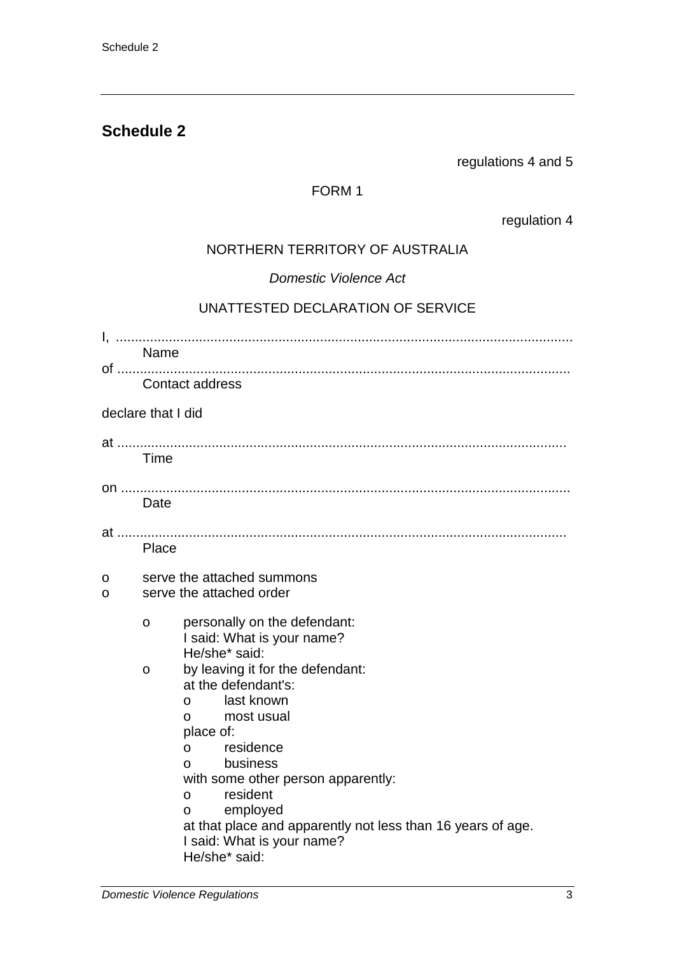## **Schedule 2**

regulations 4 and 5

## FORM 1

regulation 4

## NORTHERN TERRITORY OF AUSTRALIA

*Domestic Violence Act*

## UNATTESTED DECLARATION OF SERVICE

|        | Name                                                                                                                                                                                                                                                                                                                                                                            |
|--------|---------------------------------------------------------------------------------------------------------------------------------------------------------------------------------------------------------------------------------------------------------------------------------------------------------------------------------------------------------------------------------|
|        | Contact address                                                                                                                                                                                                                                                                                                                                                                 |
|        | declare that I did                                                                                                                                                                                                                                                                                                                                                              |
|        | Time                                                                                                                                                                                                                                                                                                                                                                            |
|        | Date                                                                                                                                                                                                                                                                                                                                                                            |
|        | Place                                                                                                                                                                                                                                                                                                                                                                           |
| 0<br>O | serve the attached summons<br>serve the attached order                                                                                                                                                                                                                                                                                                                          |
|        | personally on the defendant:<br>O<br>I said: What is your name?<br>He/she* said:                                                                                                                                                                                                                                                                                                |
|        | by leaving it for the defendant:<br>O<br>at the defendant's:<br>last known<br>$\Omega$<br>most usual<br>$\Omega$<br>place of:<br>residence<br>$\Omega$<br>business<br>$\Omega$<br>with some other person apparently:<br>resident<br>$\mathsf{o}$<br>employed<br>O<br>at that place and apparently not less than 16 years of age.<br>I said: What is your name?<br>He/she* said: |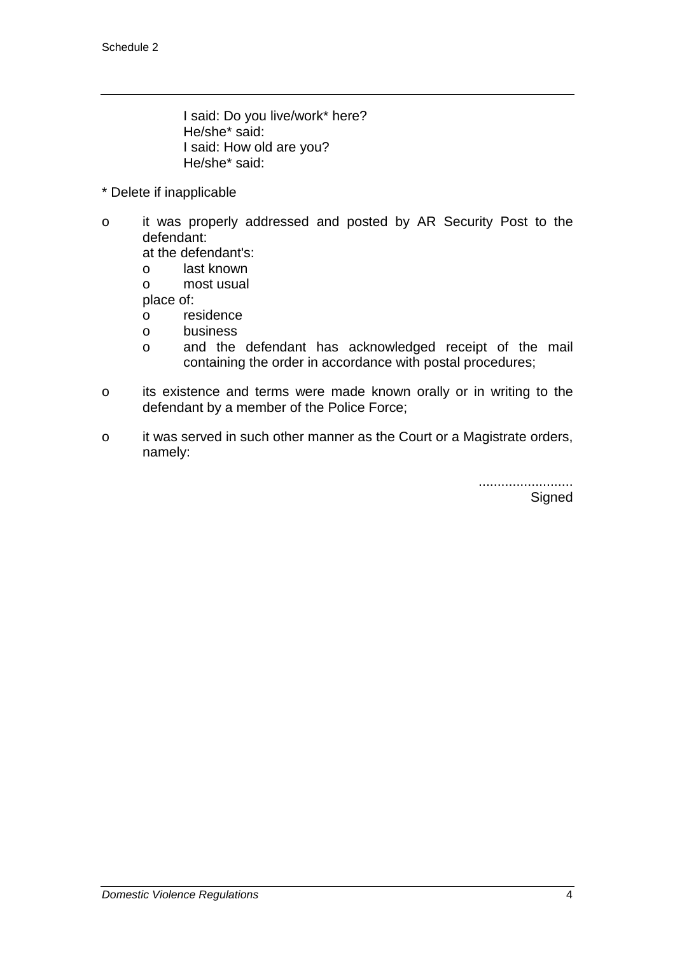I said: Do you live/work\* here? He/she\* said: I said: How old are you? He/she\* said:

- \* Delete if inapplicable
- o it was properly addressed and posted by AR Security Post to the defendant:

at the defendant's:

- o last known
- o most usual

place of:

- o residence
- o business
- o and the defendant has acknowledged receipt of the mail containing the order in accordance with postal procedures;
- o its existence and terms were made known orally or in writing to the defendant by a member of the Police Force;
- o it was served in such other manner as the Court or a Magistrate orders, namely:

......................... **Signed**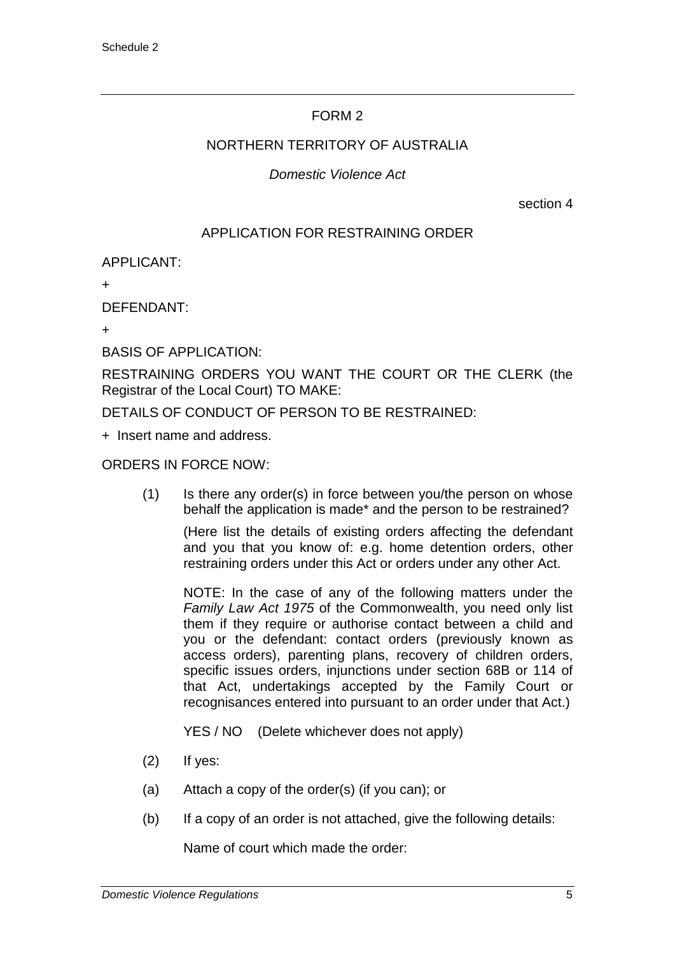#### NORTHERN TERRITORY OF AUSTRALIA

### *Domestic Violence Act*

section 4

## APPLICATION FOR RESTRAINING ORDER

APPLICANT:

+

DEFENDANT:

 $\overline{+}$ 

BASIS OF APPLICATION:

RESTRAINING ORDERS YOU WANT THE COURT OR THE CLERK (the Registrar of the Local Court) TO MAKE:

DETAILS OF CONDUCT OF PERSON TO BE RESTRAINED:

+ Insert name and address.

ORDERS IN FORCE NOW:

(1) Is there any order(s) in force between you/the person on whose behalf the application is made\* and the person to be restrained?

(Here list the details of existing orders affecting the defendant and you that you know of: e.g. home detention orders, other restraining orders under this Act or orders under any other Act.

NOTE: In the case of any of the following matters under the *Family Law Act 1975* of the Commonwealth, you need only list them if they require or authorise contact between a child and you or the defendant: contact orders (previously known as access orders), parenting plans, recovery of children orders, specific issues orders, injunctions under section 68B or 114 of that Act, undertakings accepted by the Family Court or recognisances entered into pursuant to an order under that Act.)

YES / NO (Delete whichever does not apply)

- (2) If yes:
- (a) Attach a copy of the order(s) (if you can); or
- (b) If a copy of an order is not attached, give the following details:

Name of court which made the order: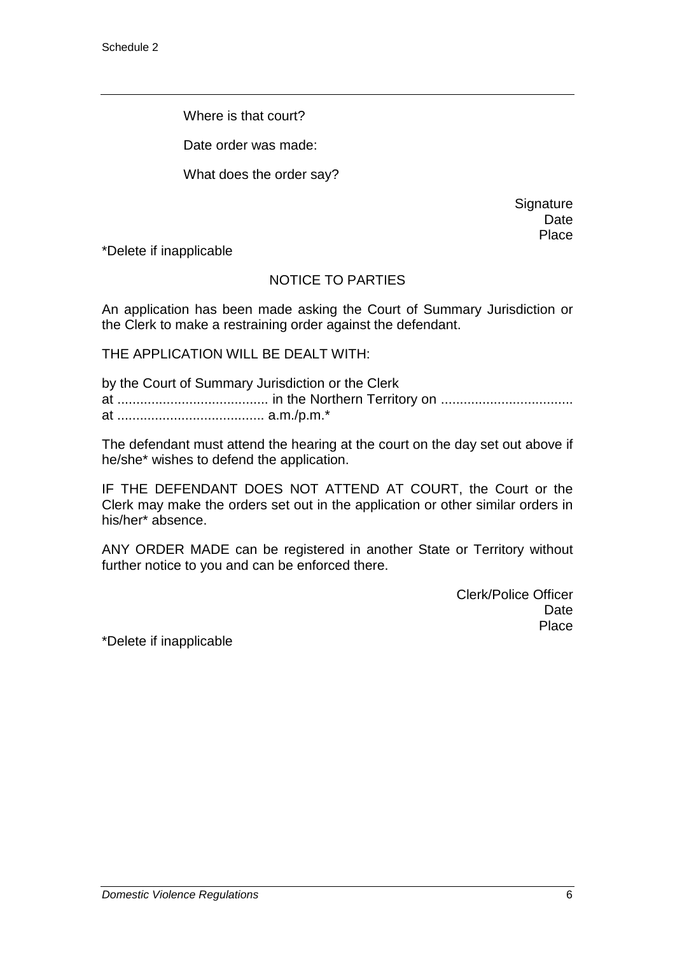Where is that court?

Date order was made:

What does the order say?

**Signature** Date Place

\*Delete if inapplicable

#### NOTICE TO PARTIES

An application has been made asking the Court of Summary Jurisdiction or the Clerk to make a restraining order against the defendant.

THE APPLICATION WILL BE DEALT WITH:

by the Court of Summary Jurisdiction or the Clerk at ........................................ in the Northern Territory on ................................... at ....................................... a.m./p.m.\*

The defendant must attend the hearing at the court on the day set out above if he/she\* wishes to defend the application.

IF THE DEFENDANT DOES NOT ATTEND AT COURT, the Court or the Clerk may make the orders set out in the application or other similar orders in his/her\* absence.

ANY ORDER MADE can be registered in another State or Territory without further notice to you and can be enforced there.

> Clerk/Police Officer Date **Place**

\*Delete if inapplicable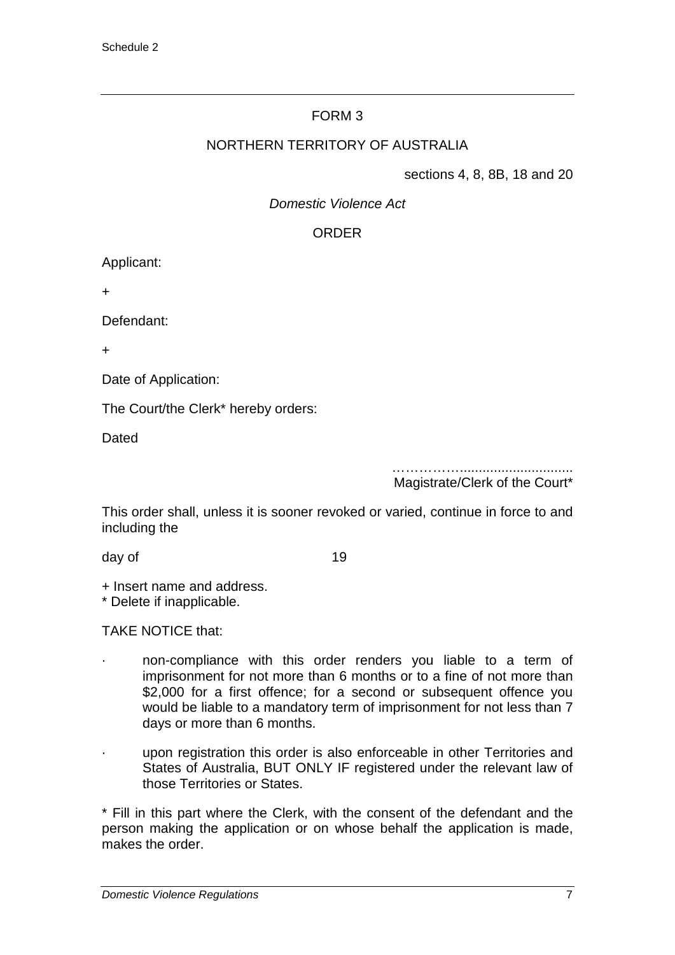#### NORTHERN TERRITORY OF AUSTRALIA

sections 4, 8, 8B, 18 and 20

*Domestic Violence Act*

#### ORDER

Applicant:

+

Defendant:

+

Date of Application:

The Court/the Clerk\* hereby orders:

Dated

……………..............................

Magistrate/Clerk of the Court\*

This order shall, unless it is sooner revoked or varied, continue in force to and including the

day of the 19

+ Insert name and address.

\* Delete if inapplicable.

TAKE NOTICE that:

- · non-compliance with this order renders you liable to a term of imprisonment for not more than 6 months or to a fine of not more than \$2,000 for a first offence; for a second or subsequent offence you would be liable to a mandatory term of imprisonment for not less than 7 days or more than 6 months.
- upon registration this order is also enforceable in other Territories and States of Australia, BUT ONLY IF registered under the relevant law of those Territories or States.

\* Fill in this part where the Clerk, with the consent of the defendant and the person making the application or on whose behalf the application is made, makes the order.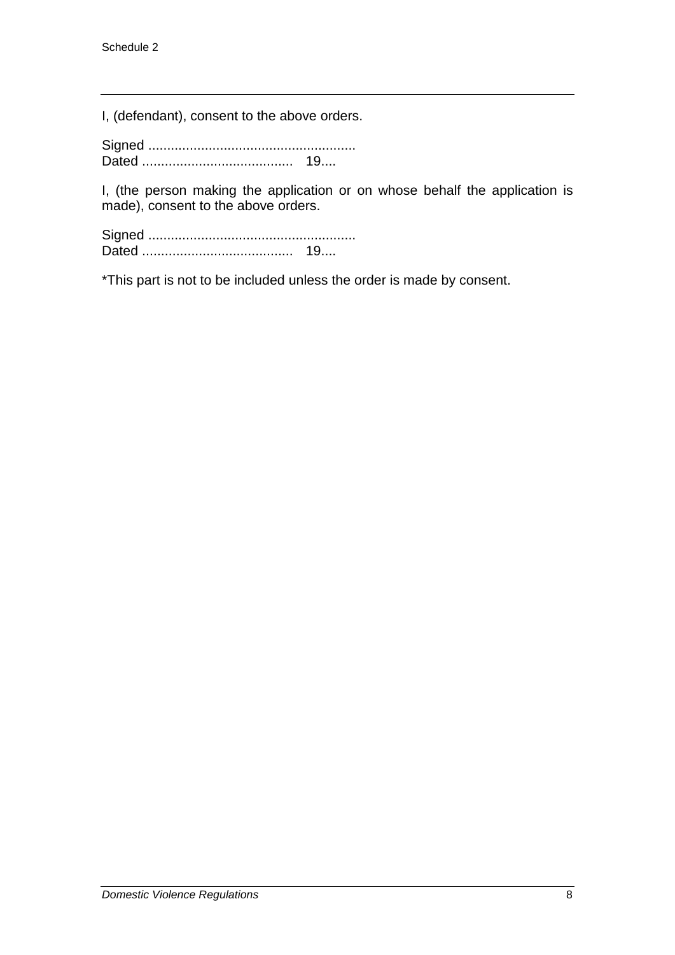I, (defendant), consent to the above orders.

Signed ....................................................... Dated ........................................ 19....

I, (the person making the application or on whose behalf the application is made), consent to the above orders.

Signed ....................................................... Dated ........................................ 19....

\*This part is not to be included unless the order is made by consent.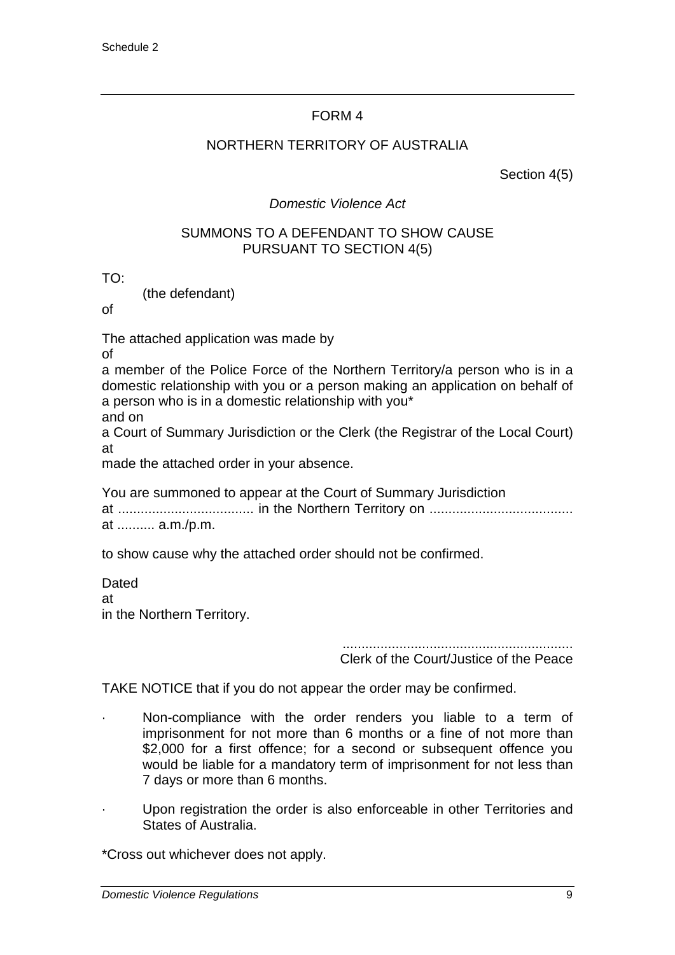#### NORTHERN TERRITORY OF AUSTRALIA

Section 4(5)

### *Domestic Violence Act*

#### SUMMONS TO A DEFENDANT TO SHOW CAUSE PURSUANT TO SECTION 4(5)

TO:

(the defendant)

of

The attached application was made by

of

a member of the Police Force of the Northern Territory/a person who is in a domestic relationship with you or a person making an application on behalf of a person who is in a domestic relationship with you\* and on

a Court of Summary Jurisdiction or the Clerk (the Registrar of the Local Court) at

made the attached order in your absence.

You are summoned to appear at the Court of Summary Jurisdiction at .................................... in the Northern Territory on ...................................... at .......... a.m./p.m.

to show cause why the attached order should not be confirmed.

Dated at in the Northern Territory.

Clerk of the Court/Justice of the Peace

TAKE NOTICE that if you do not appear the order may be confirmed.

- Non-compliance with the order renders you liable to a term of imprisonment for not more than 6 months or a fine of not more than \$2,000 for a first offence; for a second or subsequent offence you would be liable for a mandatory term of imprisonment for not less than 7 days or more than 6 months.
- · Upon registration the order is also enforceable in other Territories and States of Australia.

\*Cross out whichever does not apply.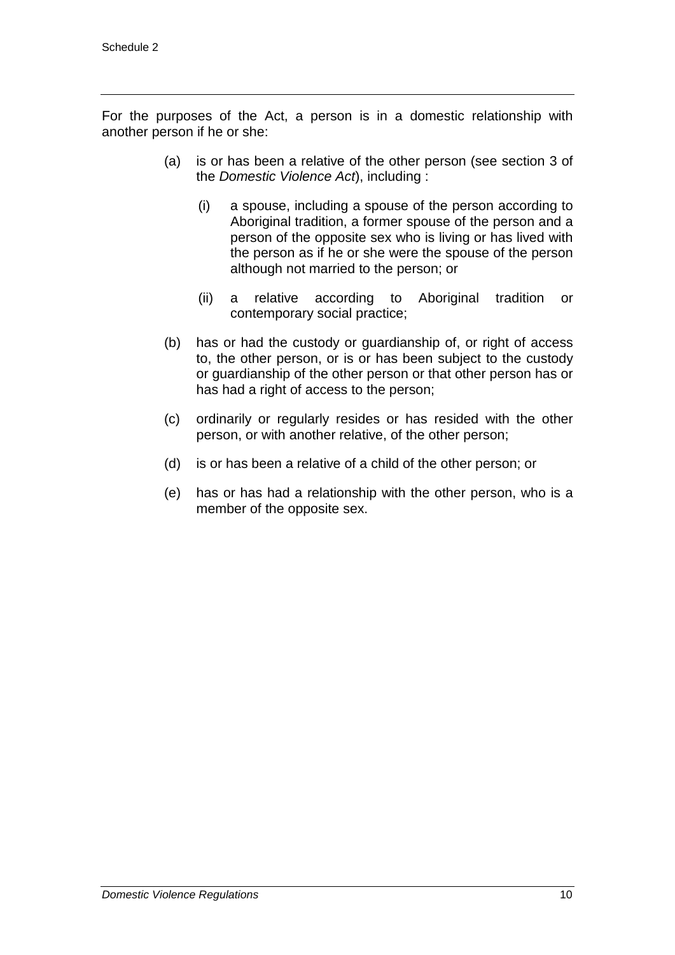For the purposes of the Act, a person is in a domestic relationship with another person if he or she:

- (a) is or has been a relative of the other person (see section 3 of the *Domestic Violence Act*), including :
	- (i) a spouse, including a spouse of the person according to Aboriginal tradition, a former spouse of the person and a person of the opposite sex who is living or has lived with the person as if he or she were the spouse of the person although not married to the person; or
	- (ii) a relative according to Aboriginal tradition or contemporary social practice;
- (b) has or had the custody or guardianship of, or right of access to, the other person, or is or has been subject to the custody or guardianship of the other person or that other person has or has had a right of access to the person;
- (c) ordinarily or regularly resides or has resided with the other person, or with another relative, of the other person;
- (d) is or has been a relative of a child of the other person; or
- (e) has or has had a relationship with the other person, who is a member of the opposite sex.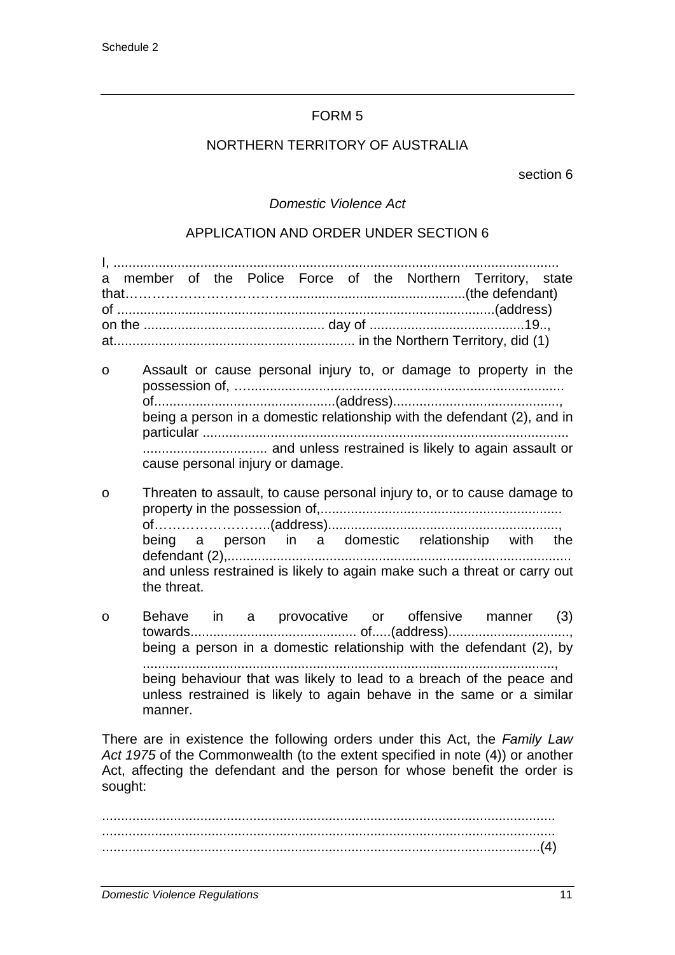#### NORTHERN TERRITORY OF AUSTRALIA

section 6

#### *Domestic Violence Act*

#### APPLICATION AND ORDER UNDER SECTION 6

|  |  |  |  |  |  |  |  |  | a member of the Police Force of the Northern Territory, state |  |
|--|--|--|--|--|--|--|--|--|---------------------------------------------------------------|--|
|  |  |  |  |  |  |  |  |  |                                                               |  |
|  |  |  |  |  |  |  |  |  |                                                               |  |
|  |  |  |  |  |  |  |  |  |                                                               |  |
|  |  |  |  |  |  |  |  |  |                                                               |  |
|  |  |  |  |  |  |  |  |  |                                                               |  |

- o Assault or cause personal injury to, or damage to property in the possession of, ….................................................................................... of................................................(address)............................................, being a person in a domestic relationship with the defendant (2), and in particular ................................................................................................. ................................. and unless restrained is likely to again assault or cause personal injury or damage.
- o Threaten to assault, to cause personal injury to, or to cause damage to property in the possession of,................................................................ of……………………..(address)............................................................., being a person in a domestic relationship with the defendant (2),........................................................................................... and unless restrained is likely to again make such a threat or carry out the threat.
- o Behave in a provocative or offensive manner (3) towards............................................ of.....(address)................................, being a person in a domestic relationship with the defendant (2), by ............................................................................................................., being behaviour that was likely to lead to a breach of the peace and unless restrained is likely to again behave in the same or a similar manner.

There are in existence the following orders under this Act, the *Family Law Act 1975* of the Commonwealth (to the extent specified in note (4)) or another Act, affecting the defendant and the person for whose benefit the order is sought:

........................................................................................................................ ........................................................................................................................ ....................................................................................................................(4)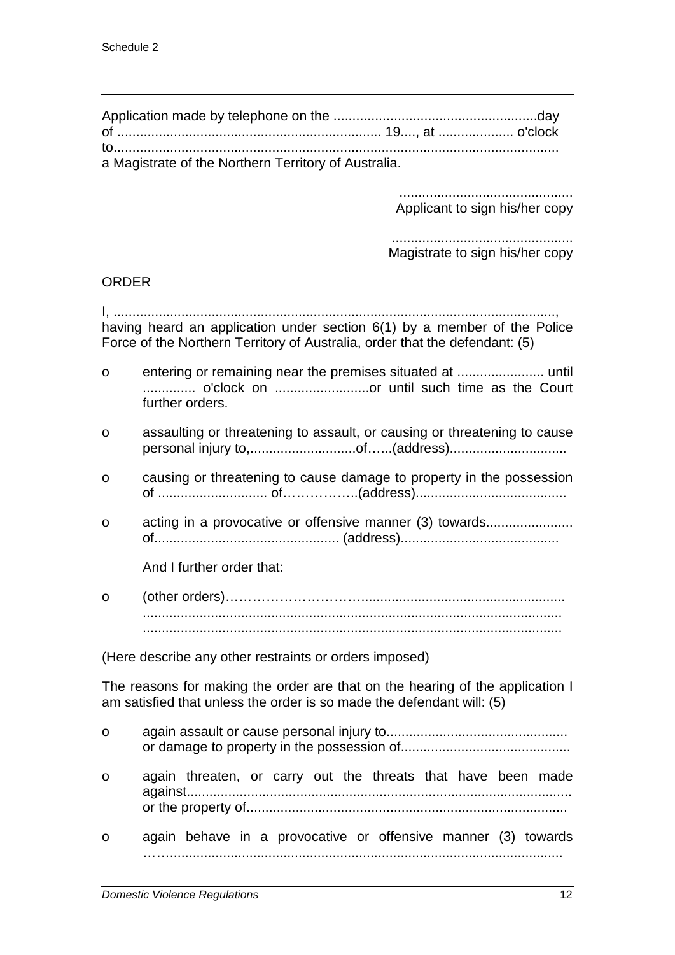| a Magistrate of the Northern Territory of Australia. |  |
|------------------------------------------------------|--|

.............................................. Applicant to sign his/her copy

................................................ Magistrate to sign his/her copy

#### ORDER

I, ....................................................................................................................., having heard an application under section 6(1) by a member of the Police Force of the Northern Territory of Australia, order that the defendant: (5)

- o entering or remaining near the premises situated at ....................... until .............. o'clock on .........................or until such time as the Court further orders.
- o assaulting or threatening to assault, or causing or threatening to cause personal injury to,............................of…...(address)...............................
- o causing or threatening to cause damage to property in the possession of ............................. of……………..(address)........................................
- o acting in a provocative or offensive manner (3) towards....................... of................................................. (address)..........................................

And I further order that:

o (other orders)…………………………………………………………………………………… ............................................................................................................... ...............................................................................................................

(Here describe any other restraints or orders imposed)

The reasons for making the order are that on the hearing of the application I am satisfied that unless the order is so made the defendant will: (5)

o again assault or cause personal injury to................................................ or damage to property in the possession of............................................. o again threaten, or carry out the threats that have been made against...................................................................................................... or the property of..................................................................................... o again behave in a provocative or offensive manner (3) towards ……........................................................................................................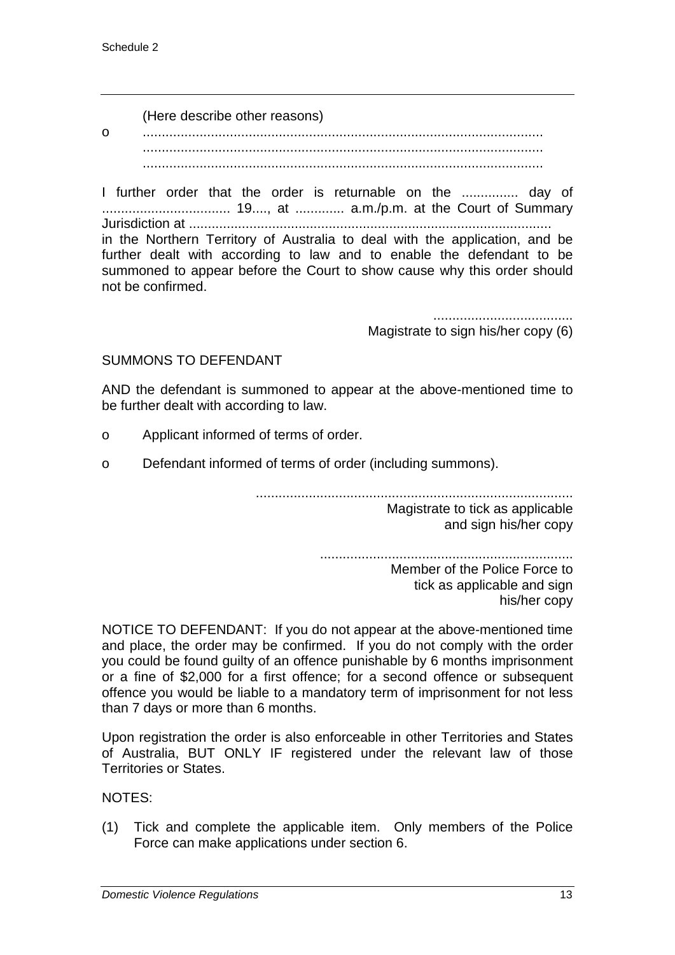(Here describe other reasons)

o .......................................................................................................... .......................................................................................................... ..........................................................................................................

I further order that the order is returnable on the ............... day of .................................. 19...., at ............. a.m./p.m. at the Court of Summary Jurisdiction at ................................................................................................ in the Northern Territory of Australia to deal with the application, and be further dealt with according to law and to enable the defendant to be summoned to appear before the Court to show cause why this order should not be confirmed.

> ..................................... Magistrate to sign his/her copy (6)

#### SUMMONS TO DEFENDANT

AND the defendant is summoned to appear at the above-mentioned time to be further dealt with according to law.

- o Applicant informed of terms of order.
- o Defendant informed of terms of order (including summons).

....................................................................................

Magistrate to tick as applicable and sign his/her copy

................................................................... Member of the Police Force to tick as applicable and sign his/her copy

NOTICE TO DEFENDANT: If you do not appear at the above-mentioned time and place, the order may be confirmed. If you do not comply with the order you could be found guilty of an offence punishable by 6 months imprisonment or a fine of \$2,000 for a first offence; for a second offence or subsequent offence you would be liable to a mandatory term of imprisonment for not less than 7 days or more than 6 months.

Upon registration the order is also enforceable in other Territories and States of Australia, BUT ONLY IF registered under the relevant law of those Territories or States.

NOTES:

(1) Tick and complete the applicable item. Only members of the Police Force can make applications under section 6.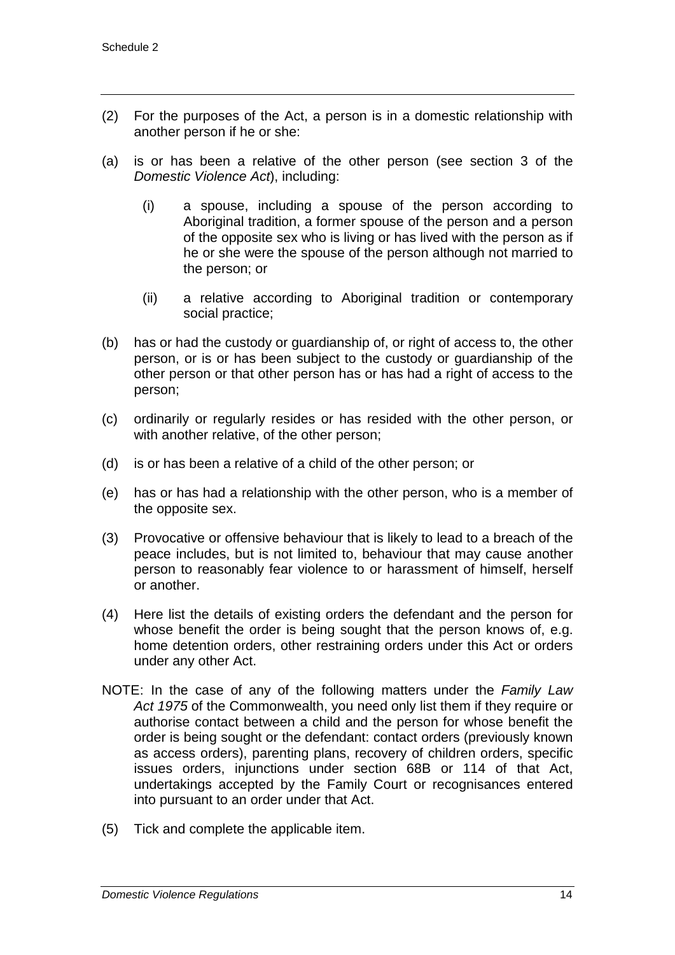- (2) For the purposes of the Act, a person is in a domestic relationship with another person if he or she:
- (a) is or has been a relative of the other person (see section 3 of the *Domestic Violence Act*), including:
	- (i) a spouse, including a spouse of the person according to Aboriginal tradition, a former spouse of the person and a person of the opposite sex who is living or has lived with the person as if he or she were the spouse of the person although not married to the person; or
	- (ii) a relative according to Aboriginal tradition or contemporary social practice;
- (b) has or had the custody or guardianship of, or right of access to, the other person, or is or has been subject to the custody or guardianship of the other person or that other person has or has had a right of access to the person;
- (c) ordinarily or regularly resides or has resided with the other person, or with another relative, of the other person;
- (d) is or has been a relative of a child of the other person; or
- (e) has or has had a relationship with the other person, who is a member of the opposite sex.
- (3) Provocative or offensive behaviour that is likely to lead to a breach of the peace includes, but is not limited to, behaviour that may cause another person to reasonably fear violence to or harassment of himself, herself or another.
- (4) Here list the details of existing orders the defendant and the person for whose benefit the order is being sought that the person knows of, e.g. home detention orders, other restraining orders under this Act or orders under any other Act.
- NOTE: In the case of any of the following matters under the *Family Law Act 1975* of the Commonwealth, you need only list them if they require or authorise contact between a child and the person for whose benefit the order is being sought or the defendant: contact orders (previously known as access orders), parenting plans, recovery of children orders, specific issues orders, injunctions under section 68B or 114 of that Act, undertakings accepted by the Family Court or recognisances entered into pursuant to an order under that Act.
- (5) Tick and complete the applicable item.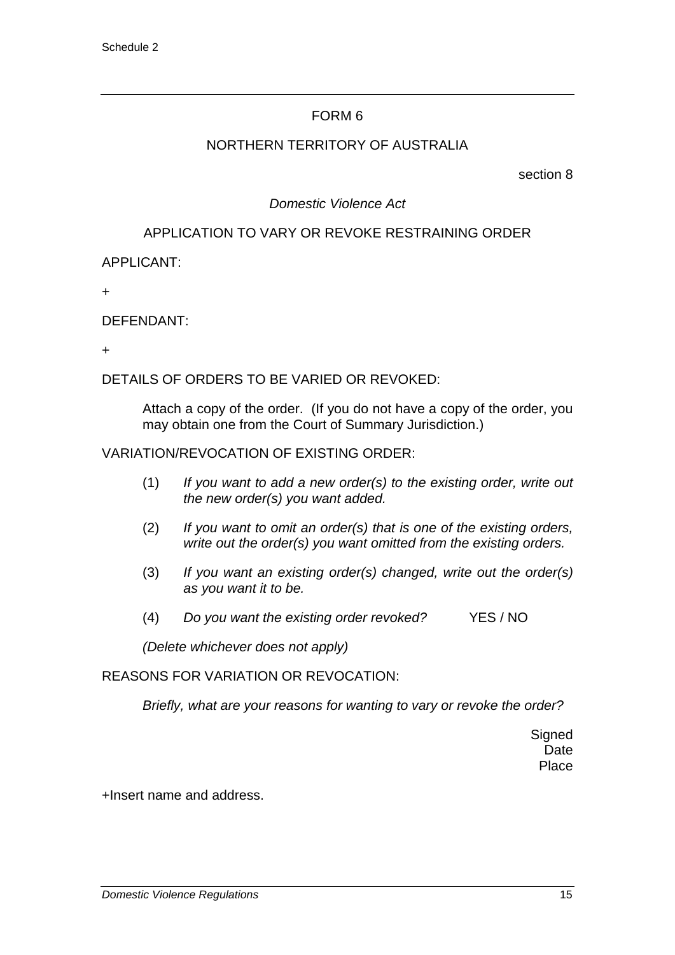#### NORTHERN TERRITORY OF AUSTRALIA

section 8

### *Domestic Violence Act*

#### APPLICATION TO VARY OR REVOKE RESTRAINING ORDER

APPLICANT:

+

DEFENDANT:

+

DETAILS OF ORDERS TO BE VARIED OR REVOKED:

Attach a copy of the order. (If you do not have a copy of the order, you may obtain one from the Court of Summary Jurisdiction.)

#### VARIATION/REVOCATION OF EXISTING ORDER:

- (1) *If you want to add a new order(s) to the existing order, write out the new order(s) you want added.*
- (2) *If you want to omit an order(s) that is one of the existing orders, write out the order(s) you want omitted from the existing orders.*
- (3) *If you want an existing order(s) changed, write out the order(s) as you want it to be.*
- (4) *Do you want the existing order revoked?* YES / NO

*(Delete whichever does not apply)*

REASONS FOR VARIATION OR REVOCATION:

*Briefly, what are your reasons for wanting to vary or revoke the order?*

**Signed** Date Place

+Insert name and address.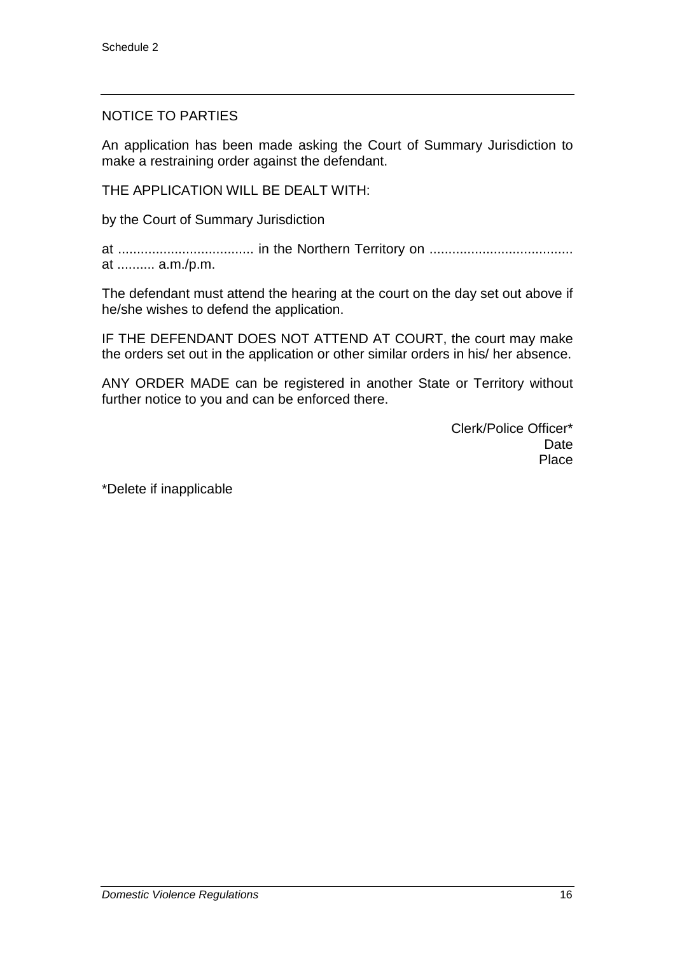#### NOTICE TO PARTIES

An application has been made asking the Court of Summary Jurisdiction to make a restraining order against the defendant.

THE APPLICATION WILL BE DEALT WITH:

by the Court of Summary Jurisdiction

at .................................... in the Northern Territory on ...................................... at .......... a.m./p.m.

The defendant must attend the hearing at the court on the day set out above if he/she wishes to defend the application.

IF THE DEFENDANT DOES NOT ATTEND AT COURT, the court may make the orders set out in the application or other similar orders in his/ her absence.

ANY ORDER MADE can be registered in another State or Territory without further notice to you and can be enforced there.

> Clerk/Police Officer\* Date Place

\*Delete if inapplicable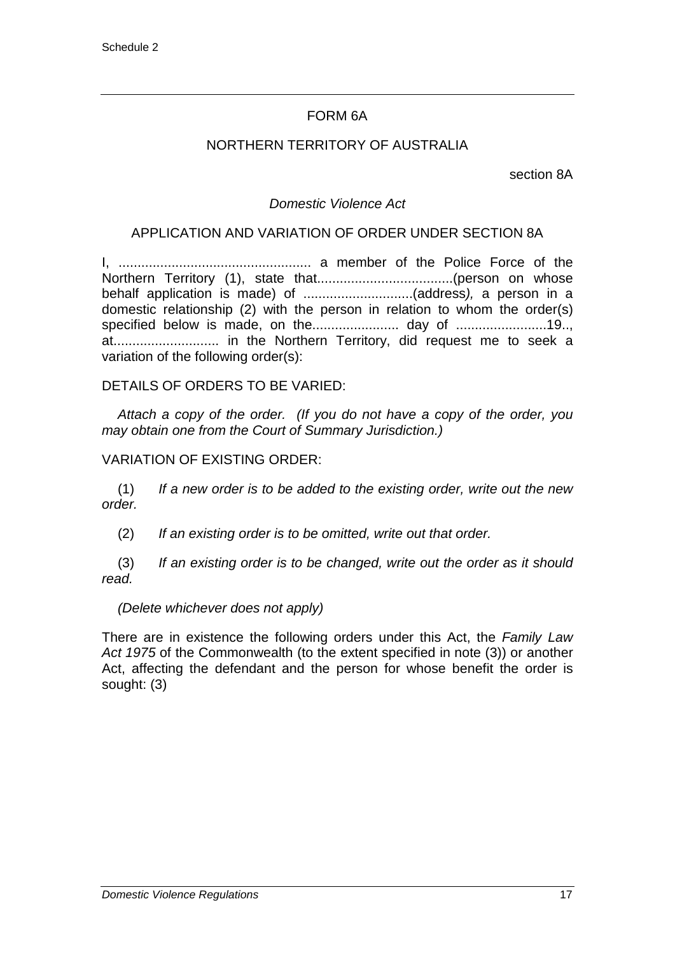#### FORM 6A

#### NORTHERN TERRITORY OF AUSTRALIA

section 8A

#### *Domestic Violence Act*

#### APPLICATION AND VARIATION OF ORDER UNDER SECTION 8A

I, ................................................... a member of the Police Force of the Northern Territory (1), state that....................................(person on whose behalf application is made) of .............................(address*),* a person in a domestic relationship (2) with the person in relation to whom the order(s) specified below is made, on the....................... day of ........................19.., at............................ in the Northern Territory, did request me to seek a variation of the following order(s):

#### DETAILS OF ORDERS TO BE VARIED:

*Attach a copy of the order. (If you do not have a copy of the order, you may obtain one from the Court of Summary Jurisdiction.)*

#### VARIATION OF EXISTING ORDER:

(1) *If a new order is to be added to the existing order, write out the new order.*

(2) *If an existing order is to be omitted, write out that order.*

(3) *If an existing order is to be changed, write out the order as it should read.*

#### *(Delete whichever does not apply)*

There are in existence the following orders under this Act, the *Family Law Act 1975* of the Commonwealth (to the extent specified in note (3)) or another Act, affecting the defendant and the person for whose benefit the order is sought: (3)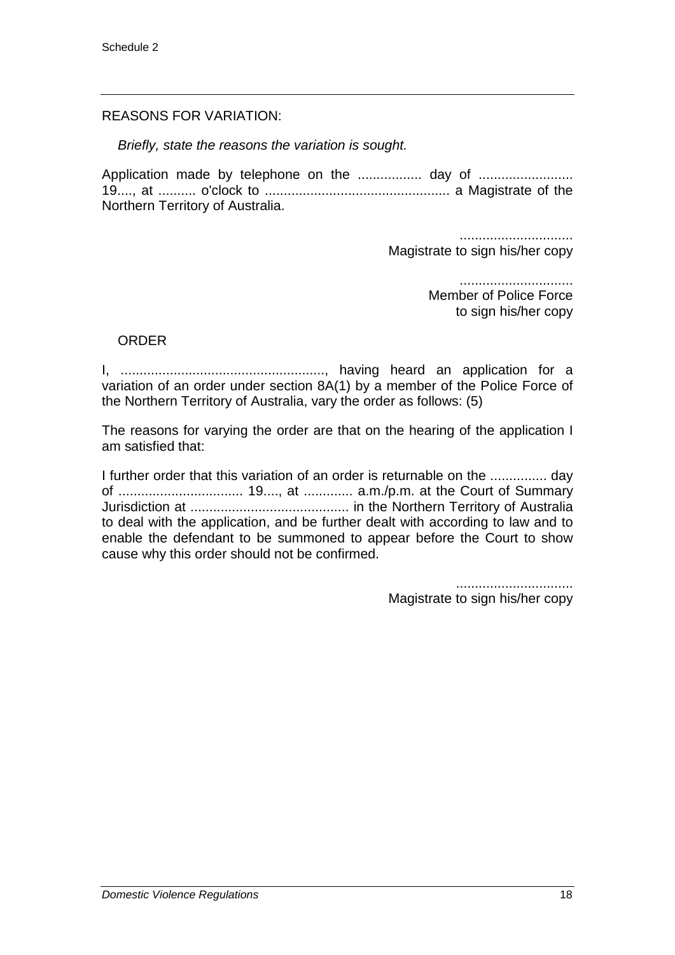#### REASONS FOR VARIATION:

*Briefly, state the reasons the variation is sought.*

Application made by telephone on the ................. day of ......................... 19...., at .......... o'clock to ................................................. a Magistrate of the Northern Territory of Australia.

> .............................. Magistrate to sign his/her copy

> > .............................. Member of Police Force to sign his/her copy

#### ORDER

I, ......................................................, having heard an application for a variation of an order under section 8A(1) by a member of the Police Force of the Northern Territory of Australia, vary the order as follows: (5)

The reasons for varying the order are that on the hearing of the application I am satisfied that:

I further order that this variation of an order is returnable on the ............... day of ................................. 19...., at ............. a.m./p.m. at the Court of Summary Jurisdiction at .......................................... in the Northern Territory of Australia to deal with the application, and be further dealt with according to law and to enable the defendant to be summoned to appear before the Court to show cause why this order should not be confirmed.

> ............................... Magistrate to sign his/her copy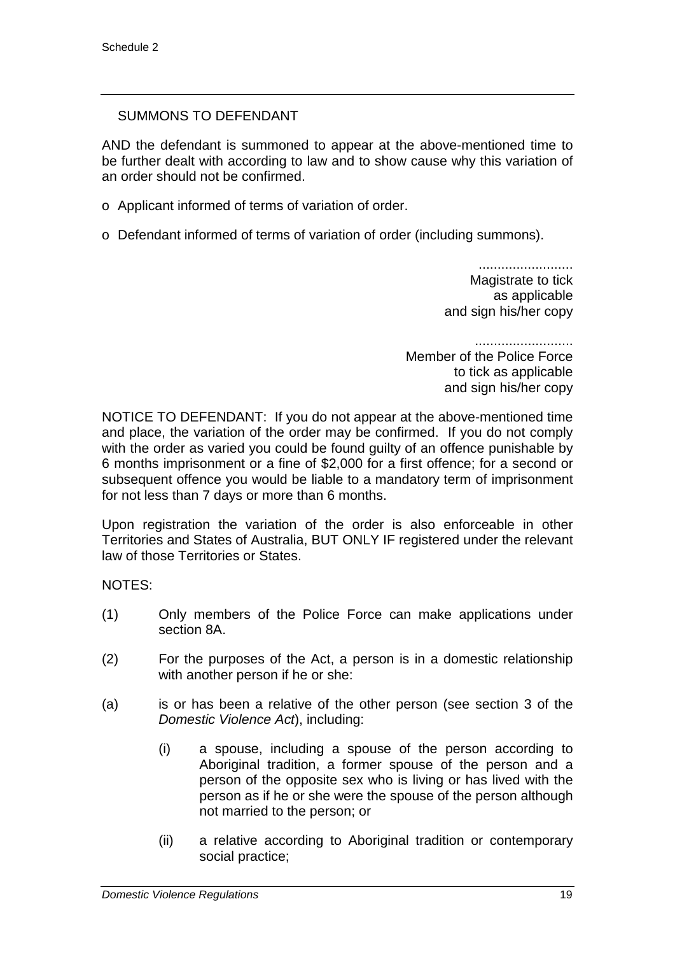#### SUMMONS TO DEFENDANT

AND the defendant is summoned to appear at the above-mentioned time to be further dealt with according to law and to show cause why this variation of an order should not be confirmed.

- o Applicant informed of terms of variation of order.
- o Defendant informed of terms of variation of order (including summons).

......................... Magistrate to tick as applicable and sign his/her copy

.......................... Member of the Police Force to tick as applicable and sign his/her copy

NOTICE TO DEFENDANT: If you do not appear at the above-mentioned time and place, the variation of the order may be confirmed. If you do not comply with the order as varied you could be found guilty of an offence punishable by 6 months imprisonment or a fine of \$2,000 for a first offence; for a second or subsequent offence you would be liable to a mandatory term of imprisonment for not less than 7 days or more than 6 months.

Upon registration the variation of the order is also enforceable in other Territories and States of Australia, BUT ONLY IF registered under the relevant law of those Territories or States.

NOTES:

- (1) Only members of the Police Force can make applications under section 8A.
- (2) For the purposes of the Act, a person is in a domestic relationship with another person if he or she:
- (a) is or has been a relative of the other person (see section 3 of the *Domestic Violence Act*), including:
	- (i) a spouse, including a spouse of the person according to Aboriginal tradition, a former spouse of the person and a person of the opposite sex who is living or has lived with the person as if he or she were the spouse of the person although not married to the person; or
	- (ii) a relative according to Aboriginal tradition or contemporary social practice;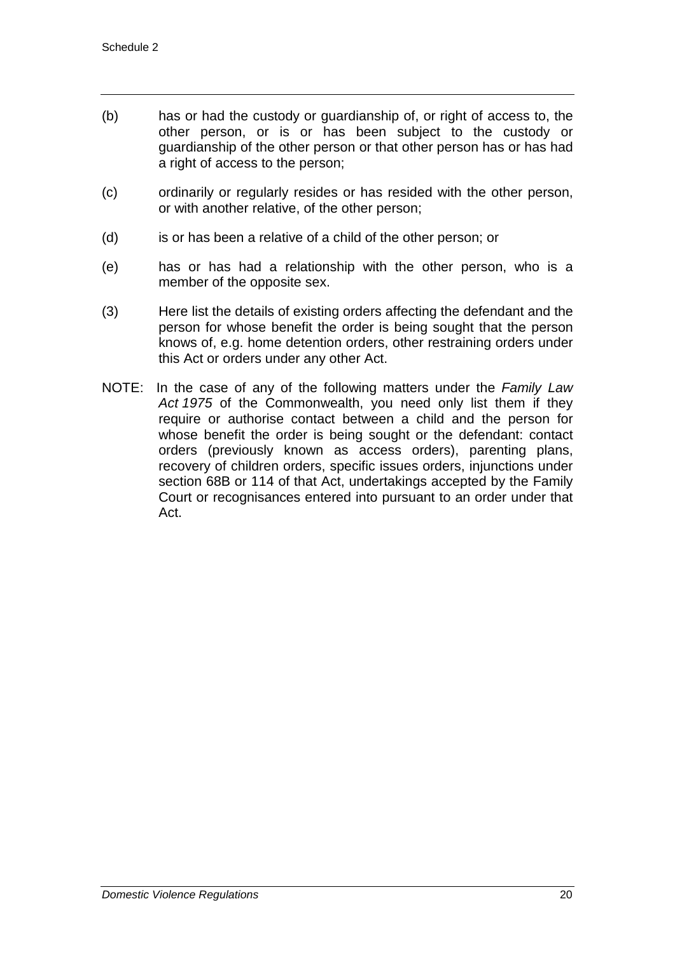- (b) has or had the custody or guardianship of, or right of access to, the other person, or is or has been subject to the custody or guardianship of the other person or that other person has or has had a right of access to the person;
- (c) ordinarily or regularly resides or has resided with the other person, or with another relative, of the other person;
- (d) is or has been a relative of a child of the other person; or
- (e) has or has had a relationship with the other person, who is a member of the opposite sex.
- (3) Here list the details of existing orders affecting the defendant and the person for whose benefit the order is being sought that the person knows of, e.g. home detention orders, other restraining orders under this Act or orders under any other Act.
- NOTE: In the case of any of the following matters under the *Family Law Act 1975* of the Commonwealth, you need only list them if they require or authorise contact between a child and the person for whose benefit the order is being sought or the defendant: contact orders (previously known as access orders), parenting plans, recovery of children orders, specific issues orders, injunctions under section 68B or 114 of that Act, undertakings accepted by the Family Court or recognisances entered into pursuant to an order under that Act.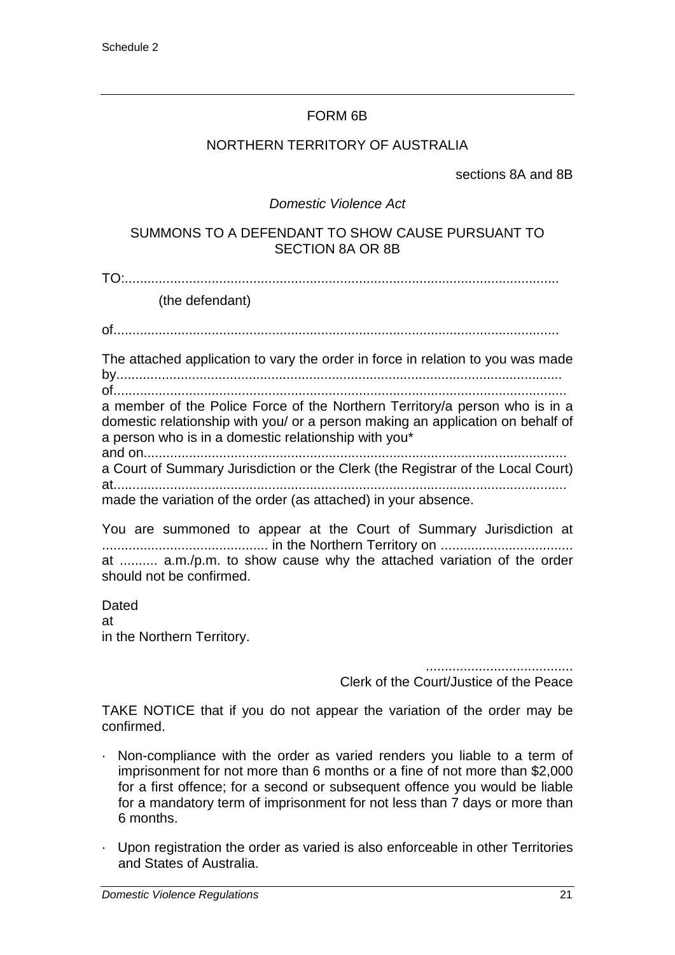#### FORM 6B

#### NORTHERN TERRITORY OF AUSTRALIA

sections 8A and 8B

#### *Domestic Violence Act*

#### SUMMONS TO A DEFENDANT TO SHOW CAUSE PURSUANT TO SECTION 8A OR 8B

TO:...................................................................................................................

(the defendant)

of......................................................................................................................

The attached application to vary the order in force in relation to you was made by......................................................................................................................

of........................................................................................................................

a member of the Police Force of the Northern Territory/a person who is in a domestic relationship with you/ or a person making an application on behalf of a person who is in a domestic relationship with you\*

and on................................................................................................................ a Court of Summary Jurisdiction or the Clerk (the Registrar of the Local Court) at........................................................................................................................

made the variation of the order (as attached) in your absence.

You are summoned to appear at the Court of Summary Jurisdiction at ............................................ in the Northern Territory on ................................... at .......... a.m./p.m. to show cause why the attached variation of the order should not be confirmed.

**Dated** at in the Northern Territory.

.......................................

Clerk of the Court/Justice of the Peace

TAKE NOTICE that if you do not appear the variation of the order may be confirmed.

- · Non-compliance with the order as varied renders you liable to a term of imprisonment for not more than 6 months or a fine of not more than \$2,000 for a first offence; for a second or subsequent offence you would be liable for a mandatory term of imprisonment for not less than 7 days or more than 6 months.
- · Upon registration the order as varied is also enforceable in other Territories and States of Australia.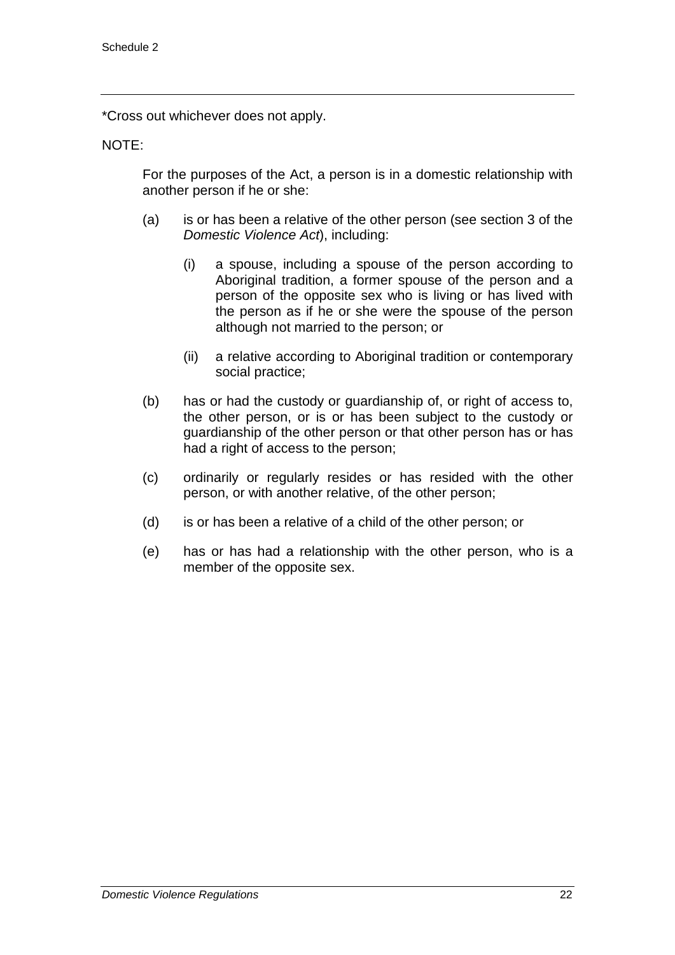\*Cross out whichever does not apply.

#### NOTE:

For the purposes of the Act, a person is in a domestic relationship with another person if he or she:

- (a) is or has been a relative of the other person (see section 3 of the *Domestic Violence Act*), including:
	- (i) a spouse, including a spouse of the person according to Aboriginal tradition, a former spouse of the person and a person of the opposite sex who is living or has lived with the person as if he or she were the spouse of the person although not married to the person; or
	- (ii) a relative according to Aboriginal tradition or contemporary social practice;
- (b) has or had the custody or guardianship of, or right of access to, the other person, or is or has been subject to the custody or guardianship of the other person or that other person has or has had a right of access to the person;
- (c) ordinarily or regularly resides or has resided with the other person, or with another relative, of the other person;
- (d) is or has been a relative of a child of the other person; or
- (e) has or has had a relationship with the other person, who is a member of the opposite sex.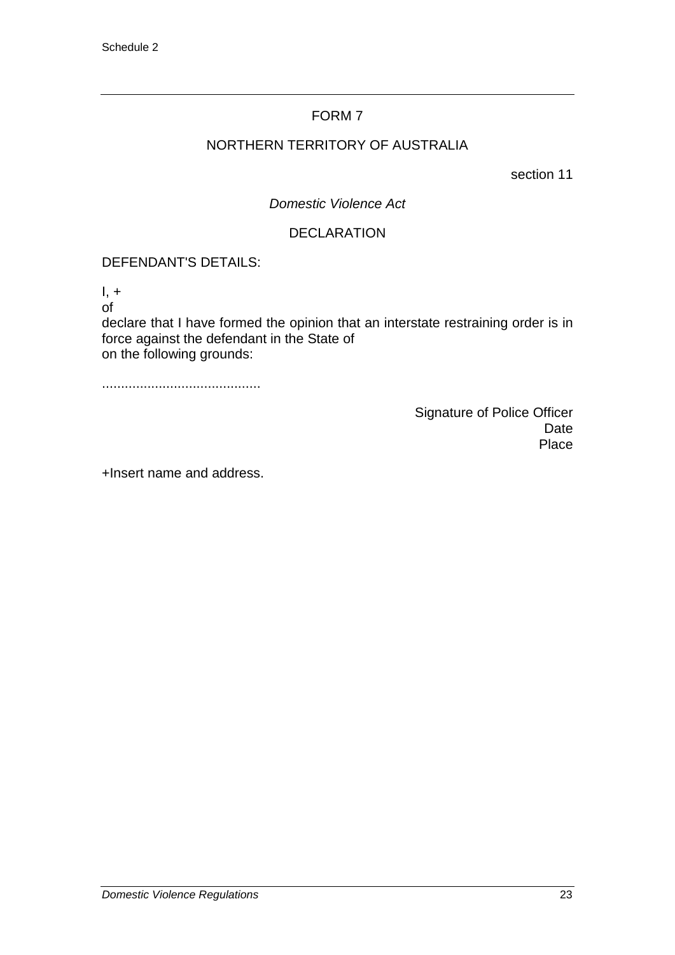### NORTHERN TERRITORY OF AUSTRALIA

section 11

*Domestic Violence Act*

#### DECLARATION

#### DEFENDANT'S DETAILS:

 $I, +$ 

of

declare that I have formed the opinion that an interstate restraining order is in force against the defendant in the State of on the following grounds:

..........................................

Signature of Police Officer Date Place

+Insert name and address.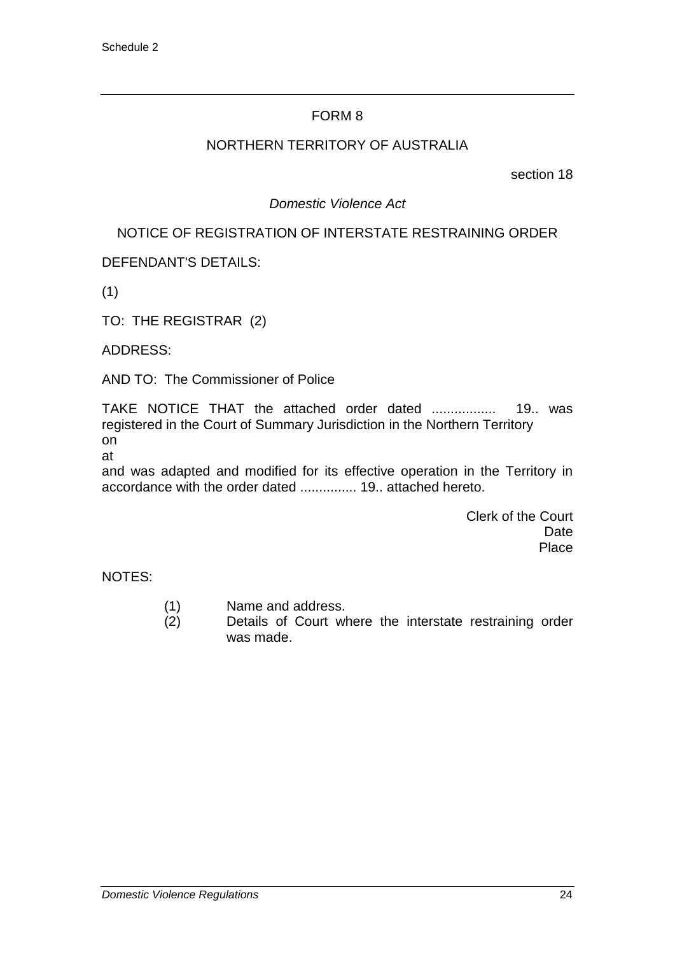#### NORTHERN TERRITORY OF AUSTRALIA

section 18

#### *Domestic Violence Act*

#### NOTICE OF REGISTRATION OF INTERSTATE RESTRAINING ORDER

DEFENDANT'S DETAILS:

(1)

TO: THE REGISTRAR (2)

ADDRESS:

AND TO: The Commissioner of Police

TAKE NOTICE THAT the attached order dated ................. 19.. was registered in the Court of Summary Jurisdiction in the Northern Territory on

at

and was adapted and modified for its effective operation in the Territory in accordance with the order dated ............... 19.. attached hereto.

> Clerk of the Court Date Place

NOTES:

- (1) Name and address.
- (2) Details of Court where the interstate restraining order was made.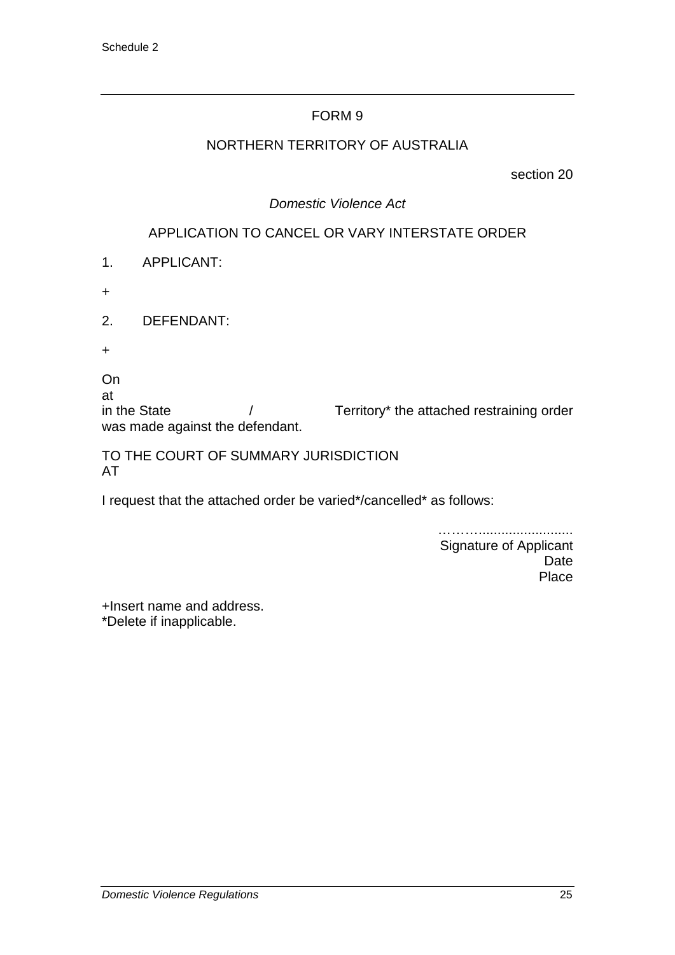#### NORTHERN TERRITORY OF AUSTRALIA

section 20

#### *Domestic Violence Act*

### APPLICATION TO CANCEL OR VARY INTERSTATE ORDER

- 1. APPLICANT:
- +
- 2. DEFENDANT:
- +
- On
- at

in the State  $/$  Territory\* the attached restraining order was made against the defendant.

#### TO THE COURT OF SUMMARY JURISDICTION AT

I request that the attached order be varied\*/cancelled\* as follows:

………………………………… Signature of Applicant Date Place

+Insert name and address. \*Delete if inapplicable.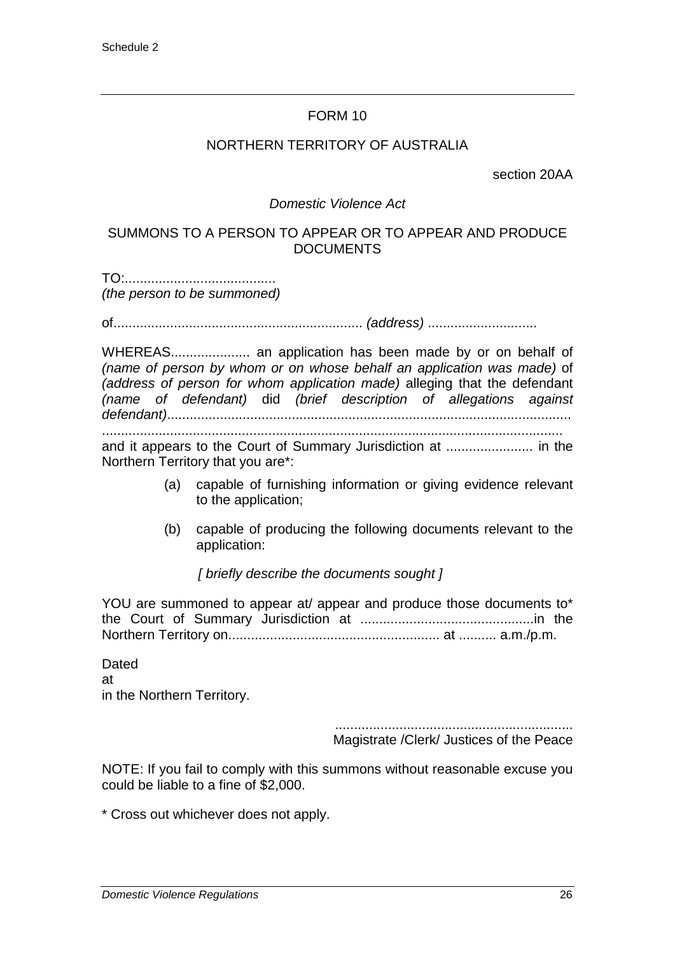#### NORTHERN TERRITORY OF AUSTRALIA

section 20AA

#### *Domestic Violence Act*

#### SUMMONS TO A PERSON TO APPEAR OR TO APPEAR AND PRODUCE DOCUMENTS

TO:........................................ *(the person to be summoned)*

of.................................................................. *(address)* .............................

WHEREAS..................... an application has been made by or on behalf of *(name of person by whom or on whose behalf an application was made)* of *(address of person for whom application made)* alleging that the defendant *(name of defendant)* did *(brief description of allegations against defendant)*........................................................................................................... ..........................................................................................................................

and it appears to the Court of Summary Jurisdiction at ....................... in the Northern Territory that you are\*:

- (a) capable of furnishing information or giving evidence relevant to the application;
- (b) capable of producing the following documents relevant to the application:

*[ briefly describe the documents sought ]*

YOU are summoned to appear at/ appear and produce those documents to\* the Court of Summary Jurisdiction at ..............................................in the Northern Territory on........................................................ at .......... a.m./p.m.

**Dated** at in the Northern Territory.

> ............................................................... Magistrate /Clerk/ Justices of the Peace

NOTE: If you fail to comply with this summons without reasonable excuse you could be liable to a fine of \$2,000.

\* Cross out whichever does not apply.